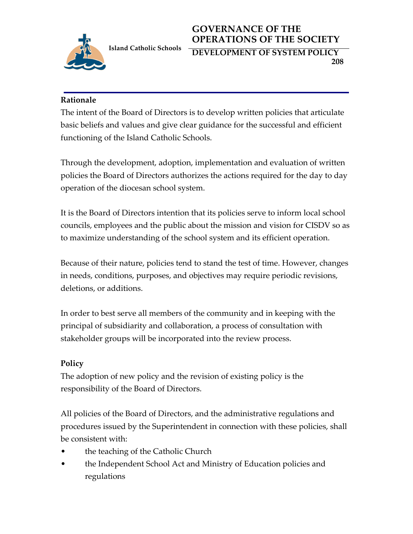

## **GOVERNANCE OF THE OPERATIONS OF THE SOCIETY**

**DEVELOPMENT OF SYSTEM POLICY 208**

## **Rationale**

The intent of the Board of Directors is to develop written policies that articulate basic beliefs and values and give clear guidance for the successful and efficient functioning of the Island Catholic Schools.

Through the development, adoption, implementation and evaluation of written policies the Board of Directors authorizes the actions required for the day to day operation of the diocesan school system.

It is the Board of Directors intention that its policies serve to inform local school councils, employees and the public about the mission and vision for CISDV so as to maximize understanding of the school system and its efficient operation.

Because of their nature, policies tend to stand the test of time. However, changes in needs, conditions, purposes, and objectives may require periodic revisions, deletions, or additions.

In order to best serve all members of the community and in keeping with the principal of subsidiarity and collaboration, a process of consultation with stakeholder groups will be incorporated into the review process.

## **Policy**

The adoption of new policy and the revision of existing policy is the responsibility of the Board of Directors.

All policies of the Board of Directors, and the administrative regulations and procedures issued by the Superintendent in connection with these policies, shall be consistent with:

- the teaching of the Catholic Church
- the Independent School Act and Ministry of Education policies and regulations